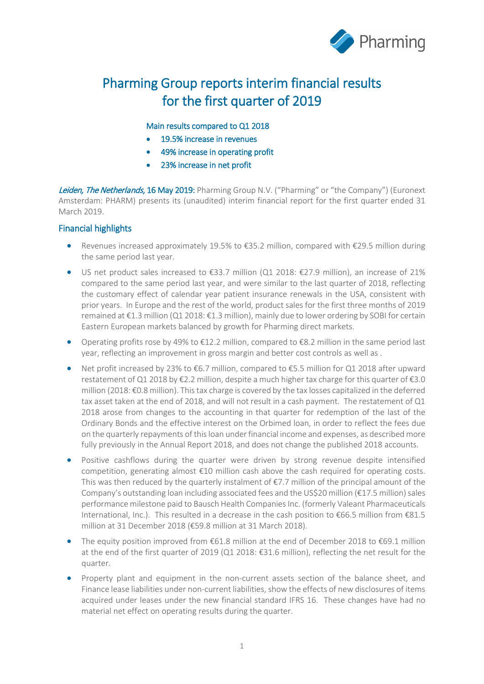

# Pharming Group reports interim financial results for the first quarter of 2019

#### Main results compared to Q1 2018

- 19.5% increase in revenues
- 49% increase in operating profit
- 23% increase in net profit

Leiden, The Netherlands, 16 May 2019: Pharming Group N.V. ("Pharming" or "the Company") (Euronext Amsterdam: PHARM) presents its (unaudited) interim financial report for the first quarter ended 31 March 2019.

#### Financial highlights

- Revenues increased approximately 19.5% to €35.2 million, compared with €29.5 million during the same period last year.
- US net product sales increased to €33.7 million (Q1 2018: €27.9 million), an increase of 21% compared to the same period last year, and were similar to the last quarter of 2018, reflecting the customary effect of calendar year patient insurance renewals in the USA, consistent with prior years. In Europe and the rest of the world, product sales for the first three months of 2019 remained at €1.3 million (Q1 2018: €1.3 million), mainly due to lower ordering by SOBI for certain Eastern European markets balanced by growth for Pharming direct markets.
- Operating profits rose by 49% to €12.2 million, compared to €8.2 million in the same period last year, reflecting an improvement in gross margin and better cost controls as well as .
- Net profit increased by 23% to €6.7 million, compared to €5.5 million for Q1 2018 after upward restatement of Q1 2018 by €2.2 million, despite a much higher tax charge for this quarter of €3.0 million (2018: €0.8 million). This tax charge is covered by the tax losses capitalized in the deferred tax asset taken at the end of 2018, and will not result in a cash payment. The restatement of Q1 2018 arose from changes to the accounting in that quarter for redemption of the last of the Ordinary Bonds and the effective interest on the Orbimed loan, in order to reflect the fees due on the quarterly repayments of this loan underfinancial income and expenses, as described more fully previously in the Annual Report 2018, and does not change the published 2018 accounts.
- Positive cashflows during the quarter were driven by strong revenue despite intensified competition, generating almost €10 million cash above the cash required for operating costs. This was then reduced by the quarterly instalment of  $\epsilon$ 7.7 million of the principal amount of the Company's outstanding loan including associated fees and the US\$20 million ( $\epsilon$ 17.5 million) sales performance milestone paid to Bausch Health Companies Inc. (formerly Valeant Pharmaceuticals International, Inc.). This resulted in a decrease in the cash position to €66.5 million from €81.5 million at 31 December 2018 (€59.8 million at 31 March 2018).
- The equity position improved from  $\epsilon$ 61.8 million at the end of December 2018 to  $\epsilon$ 69.1 million at the end of the first quarter of 2019 (Q1 2018: €31.6 million), reflecting the net result for the quarter.
- Property plant and equipment in the non-current assets section of the balance sheet, and Finance lease liabilities under non-current liabilities, show the effects of new disclosures of items acquired under leases under the new financial standard IFRS 16. These changes have had no material net effect on operating results during the quarter.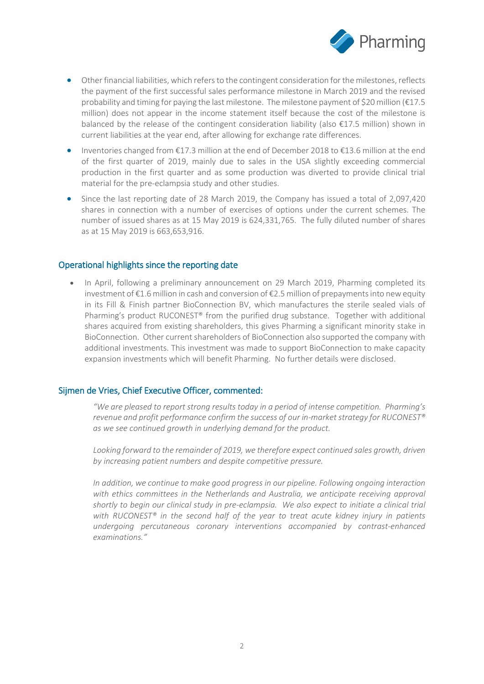

- Other financial liabilities, which refers to the contingent consideration for the milestones, reflects the payment of the first successful sales performance milestone in March 2019 and the revised probability and timing for paying the last milestone. The milestone payment of \$20 million (€17.5 million) does not appear in the income statement itself because the cost of the milestone is balanced by the release of the contingent consideration liability (also  $\epsilon$ 17.5 million) shown in current liabilities at the year end, after allowing for exchange rate differences.
- Inventories changed from €17.3 million at the end of December 2018 to €13.6 million at the end of the first quarter of 2019, mainly due to sales in the USA slightly exceeding commercial production in the first quarter and as some production was diverted to provide clinical trial material for the pre-eclampsia study and other studies.
- Since the last reporting date of 28 March 2019, the Company has issued a total of 2,097,420 shares in connection with a number of exercises of options under the current schemes. The number of issued shares as at 15 May 2019 is 624,331,765. The fully diluted number of shares as at 15 May 2019 is 663,653,916.

#### Operational highlights since the reporting date

• In April, following a preliminary announcement on 29 March 2019, Pharming completed its investment of €1.6 million in cash and conversion of €2.5 million of prepayments into new equity in its Fill & Finish partner BioConnection BV, which manufactures the sterile sealed vials of Pharming's product RUCONEST® from the purified drug substance. Together with additional shares acquired from existing shareholders, this gives Pharming a significant minority stake in BioConnection. Other current shareholders of BioConnection also supported the company with additional investments. This investment was made to support BioConnection to make capacity expansion investments which will benefit Pharming. No further details were disclosed.

#### Sijmen de Vries, Chief Executive Officer, commented:

*"We are pleased to report strong results today in a period of intense competition. Pharming's revenue and profit performance confirm the success of our in-market strategy for RUCONEST® as we see continued growth in underlying demand for the product.* 

*Looking forward to the remainder of 2019, we therefore expect continued sales growth, driven by increasing patient numbers and despite competitive pressure.*

*In addition, we continue to make good progress in our pipeline. Following ongoing interaction with ethics committees in the Netherlands and Australia, we anticipate receiving approval shortly to begin our clinical study in pre-eclampsia. We also expect to initiate a clinical trial with RUCONEST® in the second half of the year to treat acute kidney injury in patients undergoing percutaneous coronary interventions accompanied by contrast-enhanced examinations."*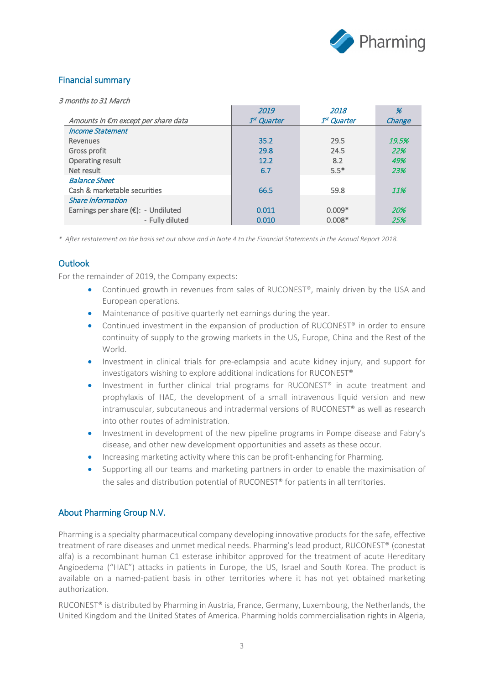

### Financial summary

3 months to 31 March

|                                     | 2019                    | 2018                    | %      |
|-------------------------------------|-------------------------|-------------------------|--------|
| Amounts in €m except per share data | 1 <sup>st</sup> Quarter | 1 <sup>st</sup> Quarter | Change |
| <b>Income Statement</b>             |                         |                         |        |
| Revenues                            | 35.2                    | 29.5                    | 19.5%  |
| Gross profit                        | 29.8                    | 24.5                    | 22%    |
| Operating result                    | 12.2                    | 8.2                     | 49%    |
| Net result                          | 6.7                     | $5.5*$                  | 23%    |
| <b>Balance Sheet</b>                |                         |                         |        |
| Cash & marketable securities        | 66.5                    | 59.8                    | 11%    |
| <b>Share Information</b>            |                         |                         |        |
| Earnings per share (€): - Undiluted | 0.011                   | $0.009*$                | 20%    |
| - Fully diluted                     | 0.010                   | $0.008*$                | 25%    |

*\* After restatement on the basis set out above and in Note 4 to the Financial Statements in the Annual Report 2018.*

### **Outlook**

For the remainder of 2019, the Company expects:

- Continued growth in revenues from sales of RUCONEST®, mainly driven by the USA and European operations.
- Maintenance of positive quarterly net earnings during the year.
- Continued investment in the expansion of production of RUCONEST® in order to ensure continuity of supply to the growing markets in the US, Europe, China and the Rest of the World.
- Investment in clinical trials for pre-eclampsia and acute kidney injury, and support for investigators wishing to explore additional indications for RUCONEST®
- Investment in further clinical trial programs for RUCONEST® in acute treatment and prophylaxis of HAE, the development of a small intravenous liquid version and new intramuscular, subcutaneous and intradermal versions of RUCONEST® as well as research into other routes of administration.
- Investment in development of the new pipeline programs in Pompe disease and Fabry's disease, and other new development opportunities and assets as these occur.
- Increasing marketing activity where this can be profit-enhancing for Pharming.
- Supporting all our teams and marketing partners in order to enable the maximisation of the sales and distribution potential of RUCONEST® for patients in all territories.

### About Pharming Group N.V.

Pharming is a specialty pharmaceutical company developing innovative products for the safe, effective treatment of rare diseases and unmet medical needs. Pharming's lead product, RUCONEST® (conestat alfa) is a recombinant human C1 esterase inhibitor approved for the treatment of acute Hereditary Angioedema ("HAE") attacks in patients in Europe, the US, Israel and South Korea. The product is available on a named-patient basis in other territories where it has not yet obtained marketing authorization.

RUCONEST® is distributed by Pharming in Austria, France, Germany, Luxembourg, the Netherlands, the United Kingdom and the United States of America. Pharming holds commercialisation rights in Algeria,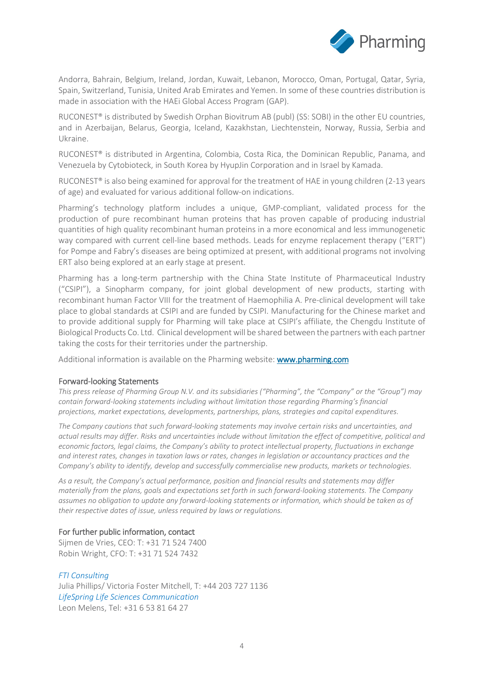

Andorra, Bahrain, Belgium, Ireland, Jordan, Kuwait, Lebanon, Morocco, Oman, Portugal, Qatar, Syria, Spain, Switzerland, Tunisia, United Arab Emirates and Yemen. In some of these countries distribution is made in association with the HAEi Global Access Program (GAP).

RUCONEST® is distributed by Swedish Orphan Biovitrum AB (publ) (SS: SOBI) in the other EU countries, and in Azerbaijan, Belarus, Georgia, Iceland, Kazakhstan, Liechtenstein, Norway, Russia, Serbia and Ukraine.

RUCONEST® is distributed in Argentina, Colombia, Costa Rica, the Dominican Republic, Panama, and Venezuela by Cytobioteck, in South Korea by HyupJin Corporation and in Israel by Kamada.

RUCONEST® is also being examined for approval for the treatment of HAE in young children (2-13 years of age) and evaluated for various additional follow-on indications.

Pharming's technology platform includes a unique, GMP-compliant, validated process for the production of pure recombinant human proteins that has proven capable of producing industrial quantities of high quality recombinant human proteins in a more economical and less immunogenetic way compared with current cell-line based methods. Leads for enzyme replacement therapy ("ERT") for Pompe and Fabry's diseases are being optimized at present, with additional programs not involving ERT also being explored at an early stage at present.

Pharming has a long-term partnership with the China State Institute of Pharmaceutical Industry ("CSIPI"), a Sinopharm company, for joint global development of new products, starting with recombinant human Factor VIII for the treatment of Haemophilia A. Pre-clinical development will take place to global standards at CSIPI and are funded by CSIPI. Manufacturing for the Chinese market and to provide additional supply for Pharming will take place at CSIPI's affiliate, the Chengdu Institute of Biological Products Co. Ltd. Clinical development will be shared between the partners with each partner taking the costs for their territories under the partnership.

Additional information is available on the Pharming website: www.pharming.com

#### Forward-looking Statements

*This press release of Pharming Group N.V. and its subsidiaries ("Pharming", the "Company" or the "Group") may contain forward-looking statements including without limitation those regarding Pharming's financial projections, market expectations, developments, partnerships, plans, strategies and capital expenditures.*

*The Company cautions that such forward-looking statements may involve certain risks and uncertainties, and actual results may differ. Risks and uncertainties include without limitation the effect of competitive, political and economic factors, legal claims, the Company's ability to protect intellectual property, fluctuations in exchange and interest rates, changes in taxation laws or rates, changes in legislation or accountancy practices and the Company's ability to identify, develop and successfully commercialise new products, markets or technologies.*

*As a result, the Company's actual performance, position and financial results and statements may differ materially from the plans, goals and expectations set forth in such forward-looking statements. The Company assumes no obligation to update any forward-looking statements or information, which should be taken as of their respective dates of issue, unless required by laws or regulations.*

#### For further public information, contact

Sijmen de Vries, CEO: T: +31 71 524 7400 Robin Wright, CFO: T: +31 71 524 7432

#### *FTI Consulting*

Julia Phillips/ Victoria Foster Mitchell, T: +44 203 727 1136 *LifeSpring Life Sciences Communication* Leon Melens, Tel: +31 6 53 81 64 27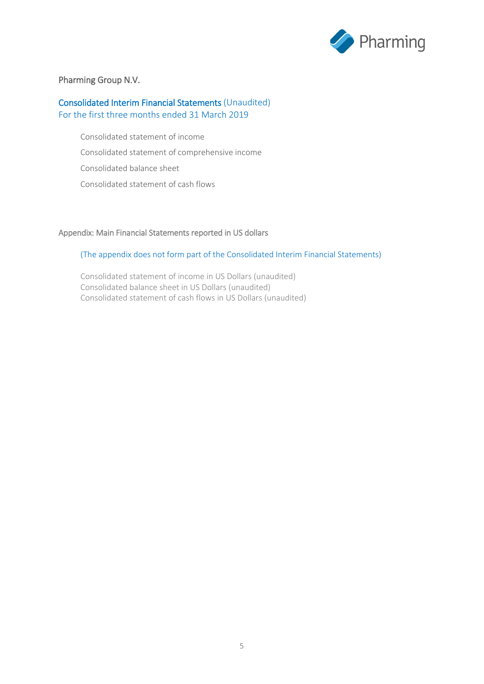

### Pharming Group N.V.

#### Consolidated Interim Financial Statements (Unaudited) For the first three months ended 31 March 2019

Consolidated statement of income Consolidated statement of comprehensive income Consolidated balance sheet Consolidated statement of cash flows

#### Appendix: Main Financial Statements reported in US dollars

#### (The appendix does not form part of the Consolidated Interim Financial Statements)

Consolidated statement of income in US Dollars (unaudited) Consolidated balance sheet in US Dollars (unaudited) Consolidated statement of cash flows in US Dollars (unaudited)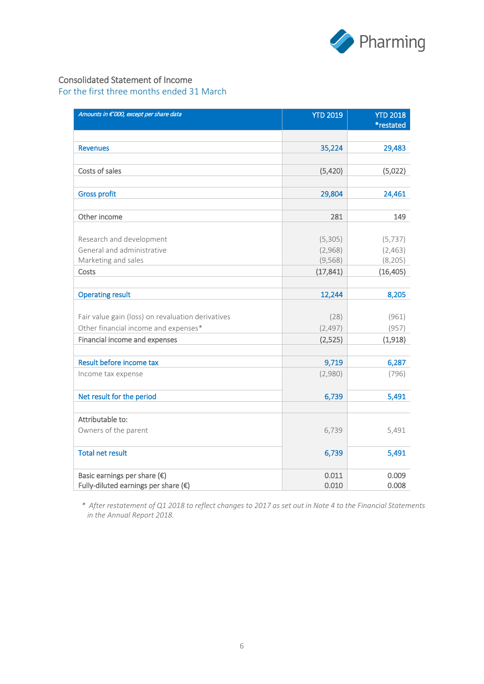

### Consolidated Statement of Income

For the first three months ended 31 March

| Amounts in €'000, except per share data           | <b>YTD 2019</b>     | <b>YTD 2018</b><br>*restated |
|---------------------------------------------------|---------------------|------------------------------|
|                                                   |                     |                              |
| <b>Revenues</b>                                   | 35,224              | 29,483                       |
|                                                   |                     |                              |
| Costs of sales                                    | (5,420)             | (5,022)                      |
|                                                   |                     |                              |
| <b>Gross profit</b>                               | 29,804              | 24,461                       |
|                                                   |                     |                              |
| Other income                                      | 281                 | 149                          |
|                                                   |                     |                              |
| Research and development                          | (5,305)             | (5, 737)                     |
| General and administrative<br>Marketing and sales | (2,968)<br>(9, 568) | (2,463)<br>(8, 205)          |
| Costs                                             | (17, 841)           | (16, 405)                    |
|                                                   |                     |                              |
| <b>Operating result</b>                           | 12,244              | 8,205                        |
|                                                   |                     |                              |
| Fair value gain (loss) on revaluation derivatives | (28)                | (961)                        |
| Other financial income and expenses*              | (2, 497)            | (957)                        |
| Financial income and expenses                     | (2,525)             | (1,918)                      |
| Result before income tax                          | 9,719               | 6,287                        |
| Income tax expense                                | (2,980)             | (796)                        |
| Net result for the period                         | 6,739               | 5,491                        |
|                                                   |                     |                              |
| Attributable to:                                  |                     |                              |
| Owners of the parent                              | 6,739               | 5,491                        |
| <b>Total net result</b>                           | 6,739               | 5,491                        |
| Basic earnings per share $(\epsilon)$             | 0.011               | 0.009                        |
| Fully-diluted earnings per share $(\epsilon)$     | 0.010               | 0.008                        |

*\* After restatement of Q1 2018 to reflect changes to 2017 as set out in Note 4 to the Financial Statements in the Annual Report 2018.*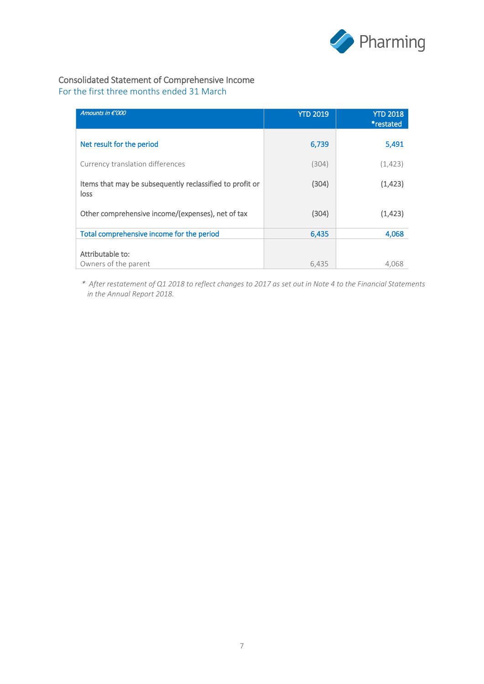

# Consolidated Statement of Comprehensive Income

For the first three months ended 31 March

| Amounts in €'000                                                 | <b>YTD 2019</b> | <b>YTD 2018</b><br>*restated |
|------------------------------------------------------------------|-----------------|------------------------------|
| Net result for the period                                        | 6,739           | 5,491                        |
| Currency translation differences                                 | (304)           | (1, 423)                     |
| Items that may be subsequently reclassified to profit or<br>loss | (304)           | (1, 423)                     |
| Other comprehensive income/(expenses), net of tax                | (304)           | (1, 423)                     |
| Total comprehensive income for the period                        | 6,435           | 4,068                        |
| Attributable to:<br>Owners of the parent                         | 6,435           | 4.068                        |

*\* After restatement of Q1 2018 to reflect changes to 2017 as set out in Note 4 to the Financial Statements in the Annual Report 2018.*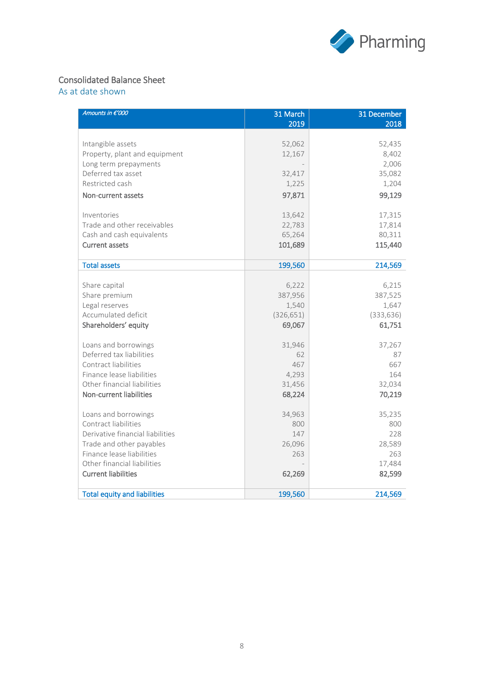

### Consolidated Balance Sheet

As at date shown

| Amounts in €'000                    | 31 March<br>2019 | 31 December<br>2018 |
|-------------------------------------|------------------|---------------------|
|                                     |                  |                     |
| Intangible assets                   | 52,062           | 52,435              |
| Property, plant and equipment       | 12,167           | 8,402               |
| Long term prepayments               |                  | 2,006               |
| Deferred tax asset                  | 32,417           | 35,082              |
| Restricted cash                     | 1,225            | 1,204               |
| Non-current assets                  | 97,871           | 99,129              |
| Inventories                         | 13,642           | 17,315              |
| Trade and other receivables         | 22,783           | 17,814              |
| Cash and cash equivalents           | 65,264           | 80,311              |
| <b>Current assets</b>               | 101,689          | 115,440             |
|                                     |                  |                     |
| <b>Total assets</b>                 | 199,560          | 214,569             |
|                                     |                  |                     |
| Share capital                       | 6,222            | 6,215               |
| Share premium                       | 387,956          | 387,525             |
| Legal reserves                      | 1,540            | 1,647               |
| Accumulated deficit                 | (326, 651)       | (333, 636)          |
| Shareholders' equity                | 69,067           | 61,751              |
| Loans and borrowings                | 31,946           | 37,267              |
| Deferred tax liabilities            | 62               | 87                  |
| Contract liabilities                | 467              | 667                 |
| Finance lease liabilities           | 4,293            | 164                 |
| Other financial liabilities         | 31,456           | 32,034              |
| Non-current liabilities             | 68,224           | 70,219              |
| Loans and borrowings                | 34,963           | 35,235              |
| Contract liabilities                | 800              | 800                 |
| Derivative financial liabilities    | 147              | 228                 |
| Trade and other payables            | 26,096           | 28,589              |
| Finance lease liabilities           | 263              | 263                 |
| Other financial liabilities         |                  | 17,484              |
| <b>Current liabilities</b>          | 62,269           | 82,599              |
| <b>Total equity and liabilities</b> | 199,560          | 214,569             |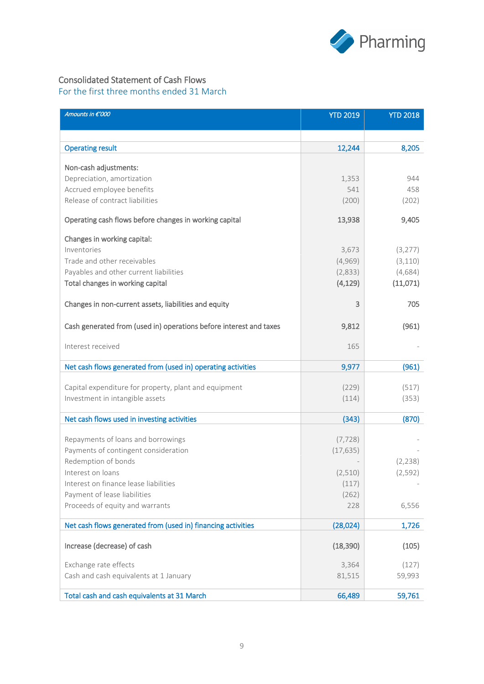

### Consolidated Statement of Cash Flows

For the first three months ended 31 March

| Amounts in €'000                                                   | <b>YTD 2019</b> | <b>YTD 2018</b> |
|--------------------------------------------------------------------|-----------------|-----------------|
|                                                                    |                 |                 |
| <b>Operating result</b>                                            | 12,244          | 8,205           |
|                                                                    |                 |                 |
| Non-cash adjustments:<br>Depreciation, amortization                | 1,353           | 944             |
| Accrued employee benefits                                          | 541             | 458             |
| Release of contract liabilities                                    | (200)           | (202)           |
| Operating cash flows before changes in working capital             | 13,938          | 9,405           |
| Changes in working capital:                                        |                 |                 |
| Inventories                                                        | 3,673           | (3, 277)        |
| Trade and other receivables                                        | (4,969)         | (3, 110)        |
| Payables and other current liabilities                             | (2,833)         | (4,684)         |
| Total changes in working capital                                   | (4, 129)        | (11,071)        |
| Changes in non-current assets, liabilities and equity              | 3               | 705             |
| Cash generated from (used in) operations before interest and taxes | 9,812           | (961)           |
| Interest received                                                  | 165             |                 |
| Net cash flows generated from (used in) operating activities       | 9,977           | (961)           |
|                                                                    |                 |                 |
| Capital expenditure for property, plant and equipment              | (229)           | (517)           |
| Investment in intangible assets                                    | (114)           | (353)           |
| Net cash flows used in investing activities                        | (343)           | (870)           |
| Repayments of loans and borrowings                                 | (7, 728)        |                 |
| Payments of contingent consideration                               | (17, 635)       |                 |
| Redemption of bonds                                                |                 | (2, 238)        |
| Interest on loans                                                  | (2,510)         | (2, 592)        |
| Interest on finance lease liabilities                              | (117)           |                 |
| Payment of lease liabilities                                       | (262)           |                 |
| Proceeds of equity and warrants                                    | 228             | 6,556           |
| Net cash flows generated from (used in) financing activities       | (28,024)        | 1,726           |
| Increase (decrease) of cash                                        | (18, 390)       | (105)           |
| Exchange rate effects                                              | 3,364           | (127)           |
| Cash and cash equivalents at 1 January                             | 81,515          | 59,993          |
| Total cash and cash equivalents at 31 March                        | 66,489          | 59,761          |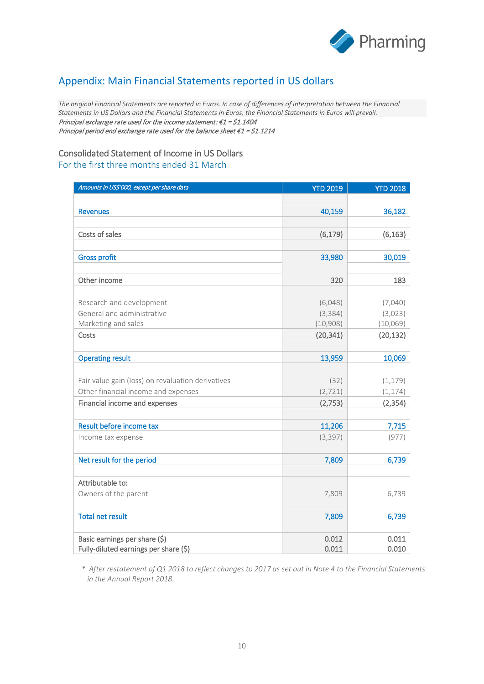

# Appendix: Main Financial Statements reported in US dollars

*The original Financial Statements are reported in Euros. In case of differences of interpretation between the Financial Statements in US Dollars and the Financial Statements in Euros, the Financial Statements in Euros will prevail.* Principal exchange rate used for the income statement:  $\epsilon$ 1 = \$1.1404 Principal period end exchange rate used for the balance sheet €1 = \$1.1214

### Consolidated Statement of Income in US Dollars

For the first three months ended 31 March

| Amounts in US\$'000, except per share data                             | <b>YTD 2019</b> | <b>YTD 2018</b> |
|------------------------------------------------------------------------|-----------------|-----------------|
|                                                                        |                 |                 |
| <b>Revenues</b>                                                        | 40,159          | 36,182          |
|                                                                        |                 |                 |
| Costs of sales                                                         | (6, 179)        | (6, 163)        |
|                                                                        |                 |                 |
| <b>Gross profit</b>                                                    | 33,980          | 30,019          |
|                                                                        |                 |                 |
| Other income                                                           | 320             | 183             |
|                                                                        |                 |                 |
| Research and development                                               | (6,048)         | (7,040)         |
| General and administrative                                             | (3, 384)        | (3,023)         |
| Marketing and sales                                                    | (10,908)        | (10,069)        |
| Costs                                                                  | (20, 341)       | (20, 132)       |
|                                                                        |                 |                 |
| <b>Operating result</b>                                                | 13,959          | 10,069          |
|                                                                        |                 |                 |
| Fair value gain (loss) on revaluation derivatives                      | (32)            | (1, 179)        |
| Other financial income and expenses                                    | (2, 721)        | (1, 174)        |
| Financial income and expenses                                          | (2,753)         | (2, 354)        |
|                                                                        |                 |                 |
| Result before income tax                                               | 11,206          | 7,715           |
| Income tax expense                                                     | (3, 397)        | (977)           |
|                                                                        |                 |                 |
| Net result for the period                                              | 7,809           | 6,739           |
|                                                                        |                 |                 |
| Attributable to:                                                       |                 |                 |
| Owners of the parent                                                   | 7,809           | 6,739           |
|                                                                        |                 |                 |
| <b>Total net result</b>                                                | 7,809           | 6,739           |
|                                                                        | 0.012           | 0.011           |
| Basic earnings per share (\$)<br>Fully-diluted earnings per share (\$) | 0.011           | 0.010           |
|                                                                        |                 |                 |

*\* After restatement of Q1 2018 to reflect changes to 2017 as set out in Note 4 to the Financial Statements in the Annual Report 2018.*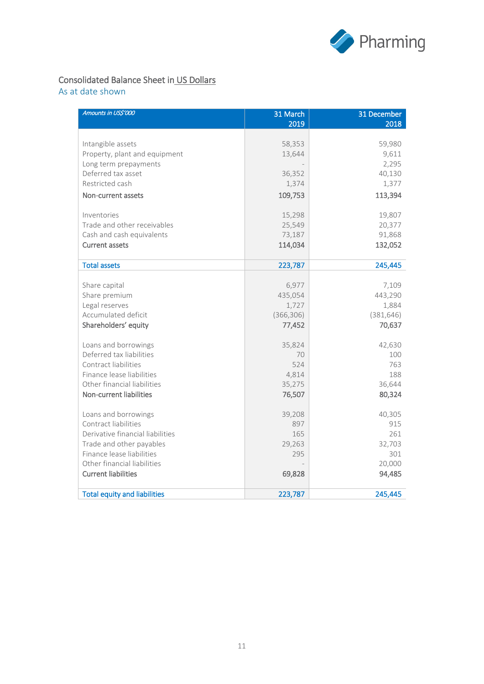

# Consolidated Balance Sheet in US Dollars

As at date shown

| Amounts in US\$'000                 | 31 March<br>2019 | 31 December<br>2018 |
|-------------------------------------|------------------|---------------------|
|                                     |                  |                     |
| Intangible assets                   | 58,353           | 59,980              |
| Property, plant and equipment       | 13,644           | 9,611               |
| Long term prepayments               |                  | 2,295               |
| Deferred tax asset                  | 36,352           | 40,130              |
| Restricted cash                     | 1,374            | 1,377               |
| Non-current assets                  | 109,753          | 113,394             |
| Inventories                         | 15,298           | 19,807              |
| Trade and other receivables         | 25,549           | 20,377              |
| Cash and cash equivalents           | 73,187           | 91,868              |
| <b>Current assets</b>               | 114,034          | 132,052             |
| <b>Total assets</b>                 | 223,787          | 245,445             |
|                                     |                  |                     |
| Share capital                       | 6,977            | 7,109               |
| Share premium                       | 435,054          | 443,290             |
| Legal reserves                      | 1,727            | 1,884               |
| Accumulated deficit                 | (366, 306)       | (381, 646)          |
| Shareholders' equity                | 77,452           | 70,637              |
| Loans and borrowings                | 35,824           | 42,630              |
| Deferred tax liabilities            | 70               | 100                 |
| Contract liabilities                | 524              | 763                 |
| Finance lease liabilities           | 4,814            | 188                 |
| Other financial liabilities         | 35,275           | 36,644              |
| Non-current liabilities             | 76,507           | 80,324              |
| Loans and borrowings                | 39,208           | 40,305              |
| Contract liabilities                | 897              | 915                 |
| Derivative financial liabilities    | 165              | 261                 |
| Trade and other payables            | 29,263           | 32,703              |
| Finance lease liabilities           | 295              | 301                 |
| Other financial liabilities         |                  | 20,000              |
| <b>Current liabilities</b>          | 69,828           | 94,485              |
| <b>Total equity and liabilities</b> | 223,787          | 245,445             |